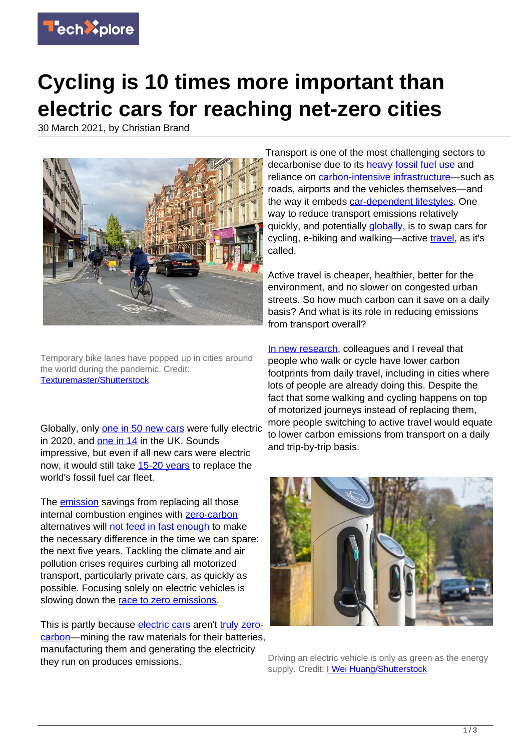

## **Cycling is 10 times more important than electric cars for reaching net-zero cities**

30 March 2021, by Christian Brand



Temporary bike lanes have popped up in cities around the world during the pandemic. Credit: [Texturemaster/Shutterstock](https://www.shutterstock.com/image-photo/cyclists-using-temporary-cycle-lanes-hammersmith-1754227781)

Globally, only [one in 50 new cars](https://www.iea.org/reports/global-ev-outlook-2020) were fully electric in 2020, and [one in 14](https://www.nextgreencar.com/electric-cars/statistics/) in the UK. Sounds impressive, but even if all new cars were electric now, it would still take [15-20 years](https://doi.org/10.1088/1748-9326/aaf4d2) to replace the world's fossil fuel car fleet.

The **emission** savings from replacing all those internal combustion engines with [zero-carbon](https://techxplore.com/tags/zero-carbon/) alternatives will [not feed in fast enough](https://doi.org/10.1038/s41558-018-0121-1) to make the necessary difference in the time we can spare: the next five years. Tackling the climate and air pollution crises requires curbing all motorized transport, particularly private cars, as quickly as possible. Focusing solely on electric vehicles is slowing down the [race to zero emissions.](https://unfccc.int/climate-action/race-to-zero-campaign)

This is partly because [electric cars](https://techxplore.com/tags/electric+cars/) aren't [truly zero](https://www.eea.europa.eu/publications/transport-and-environment-report-2020)[carbon—](https://www.eea.europa.eu/publications/transport-and-environment-report-2020)mining the raw materials for their batteries, manufacturing them and generating the electricity they run on produces emissions.

Transport is one of the most challenging sectors to decarbonise due to its [heavy fossil fuel use](https://www.eea.europa.eu/themes/transport/term/increasing-oil-consumption-and-ghg) and reliance on [carbon-intensive infrastructure](https://www.transportforqualityoflife.com/u/files/The%20carbon%20impact%20of%20the%20national%20roads%20programme%20FINAL.pdf)—such as roads, airports and the vehicles themselves—and the way it embeds [car-dependent lifestyles](https://www.itf-oecd.org/reversing-car-dependency). One way to reduce transport emissions relatively quickly, and potentially [globally](https://doi.org/10.1016/j.enpol.2010.07.017), is to swap cars for cycling, e-biking and walking—active [travel,](https://techxplore.com/tags/travel/) as it's called.

Active travel is cheaper, healthier, better for the environment, and no slower on congested urban streets. So how much carbon can it save on a daily basis? And what is its role in reducing emissions from transport overall?

[In new research,](https://doi.org/10.1016/j.trd.2021.102764) colleagues and I reveal that people who walk or cycle have lower carbon footprints from daily travel, including in cities where lots of people are already doing this. Despite the fact that some walking and cycling happens on top of motorized journeys instead of replacing them, more people switching to active travel would equate to lower carbon emissions from transport on a daily and trip-by-trip basis.



Driving an electric vehicle is only as green as the energy supply. Credit: [I Wei Huang/Shutterstock](https://www.shutterstock.com/image-photo/electric-car-charging-station-around-crouch-1545245249)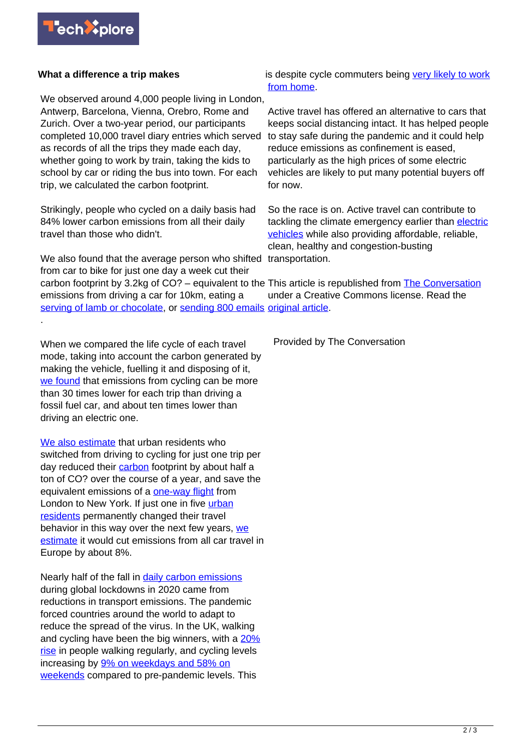

## **What a difference a trip makes**

We observed around 4,000 people living in London, Antwerp, Barcelona, Vienna, Orebro, Rome and Zurich. Over a two-year period, our participants completed 10,000 travel diary entries which served as records of all the trips they made each day, whether going to work by train, taking the kids to school by car or riding the bus into town. For each trip, we calculated the carbon footprint.

Strikingly, people who cycled on a daily basis had 84% lower carbon emissions from all their daily travel than those who didn't.

We also found that the average person who shifted transportation. from car to bike for just one day a week cut their carbon footprint by 3.2kg of CO? – equivalent to the This article is republished from **[The Conversation](https://theconversation.com)** emissions from driving a car for 10km, eating a [serving of lamb or chocolate,](https://www.bbc.co.uk/news/science-environment-46459714) or [sending 800 emails](https://www.bbc.com/future/article/20200305-why-your-internet-habits-are-not-as-clean-as-you-think) [original article](https://theconversation.com/cycling-is-ten-times-more-important-than-electric-cars-for-reaching-net-zero-cities-157163). .

When we compared the life cycle of each travel mode, taking into account the carbon generated by making the vehicle, fuelling it and disposing of it, [we found](https://doi.org/10.1016/j.trd.2021.102764) that emissions from cycling can be more than 30 times lower for each trip than driving a fossil fuel car, and about ten times lower than driving an electric one.

[We also estimate](https://doi.org/10.1016/j.gloenvcha.2021.102224) that urban residents who switched from driving to cycling for just one trip per day reduced their [carbon](https://techxplore.com/tags/carbon/) footprint by about half a ton of CO? over the course of a year, and save the equivalent emissions of a **one-way flight** from London to New York. If just one in five [urban](https://techxplore.com/tags/urban+residents/) [residents](https://techxplore.com/tags/urban+residents/) permanently changed their travel behavior in this way over the next few years, [we](https://doi.org/10.1016/j.gloenvcha.2021.102224) [estimate](https://doi.org/10.1016/j.gloenvcha.2021.102224) it would cut emissions from all car travel in Europe by about 8%.

Nearly half of the fall in **daily carbon emissions** during global lockdowns in 2020 came from reductions in transport emissions. The pandemic forced countries around the world to adapt to reduce the spread of the virus. In the UK, walking and cycling have been the big winners, with a [20%](https://www.creds.ac.uk/publications/at-a-crossroads-travel-adaptations-during-COVID-19-restrictions-and-where-next/) [rise](https://www.creds.ac.uk/publications/at-a-crossroads-travel-adaptations-during-COVID-19-restrictions-and-where-next/) in people walking regularly, and cycling levels increasing by [9% on weekdays and 58% on](https://www.creds.ac.uk/wp-content/uploads/COVID-transport-report.pdf) [weekends](https://www.creds.ac.uk/wp-content/uploads/COVID-transport-report.pdf) compared to pre-pandemic levels. This

is despite cycle commuters being [very likely to work](https://www.creds.ac.uk/wp-content/uploads/COVID-transport-report.pdf) [from home](https://www.creds.ac.uk/wp-content/uploads/COVID-transport-report.pdf).

Active travel has offered an alternative to cars that keeps social distancing intact. It has helped people to stay safe during the pandemic and it could help reduce emissions as confinement is eased, particularly as the high prices of some electric vehicles are likely to put many potential buyers off for now.

So the race is on. Active travel can contribute to tackling the climate emergency earlier than [electric](https://techxplore.com/tags/electric+vehicles/) [vehicles](https://techxplore.com/tags/electric+vehicles/) while also providing affordable, reliable, clean, healthy and congestion-busting

under a Creative Commons license. Read the

Provided by The Conversation